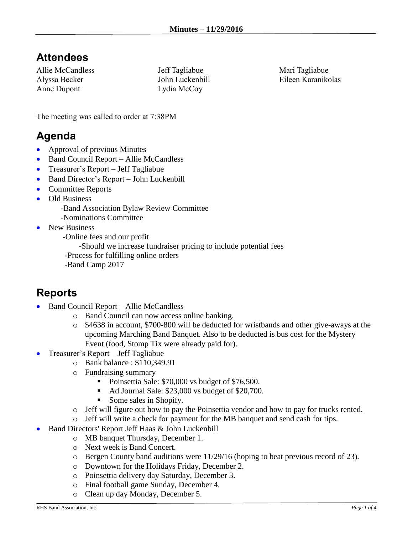#### **Attendees**

Allie McCandless Alyssa Becker Anne Dupont

Jeff Tagliabue John Luckenbill Lydia McCoy

Mari Tagliabue Eileen Karanikolas

The meeting was called to order at 7:38PM

### **Agenda**

- Approval of previous Minutes
- Band Council Report Allie McCandless
- Treasurer's Report Jeff Tagliabue
- Band Director's Report John Luckenbill
- Committee Reports
- Old Business
	- -Band Association Bylaw Review Committee
	- -Nominations Committee
- New Business

-Online fees and our profit

-Should we increase fundraiser pricing to include potential fees

-Process for fulfilling online orders

-Band Camp 2017

# **Reports**

- Band Council Report Allie McCandless
	- o Band Council can now access online banking.
	- o \$4638 in account, \$700-800 will be deducted for wristbands and other give-aways at the upcoming Marching Band Banquet. Also to be deducted is bus cost for the Mystery Event (food, Stomp Tix were already paid for).
- Treasurer's Report Jeff Tagliabue
	- o Bank balance : \$110,349.91
	- o Fundraising summary
		- Poinsettia Sale: \$70,000 vs budget of \$76,500.
		- Ad Journal Sale: \$23,000 vs budget of \$20,700.
		- Some sales in Shopify.
	- o Jeff will figure out how to pay the Poinsettia vendor and how to pay for trucks rented.
	- o Jeff will write a check for payment for the MB banquet and send cash for tips.
	- Band Directors' Report Jeff Haas & John Luckenbill
		- o MB banquet Thursday, December 1.
		- o Next week is Band Concert.
		- o Bergen County band auditions were 11/29/16 (hoping to beat previous record of 23).
		- o Downtown for the Holidays Friday, December 2.
		- o Poinsettia delivery day Saturday, December 3.
		- o Final football game Sunday, December 4.
		- o Clean up day Monday, December 5.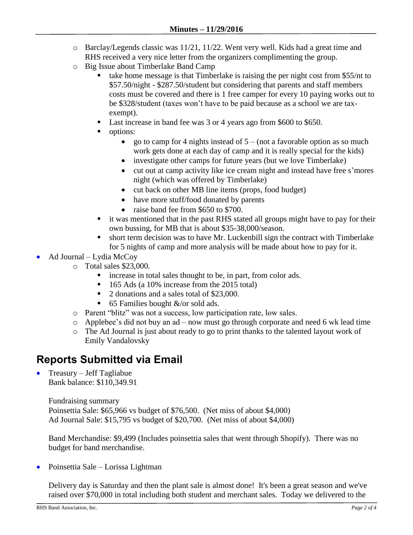- o Barclay/Legends classic was 11/21, 11/22. Went very well. Kids had a great time and RHS received a very nice letter from the organizers complimenting the group.
- o Big Issue about Timberlake Band Camp
	- take home message is that Timberlake is raising the per night cost from \$55/nt to \$57.50/night - \$287.50/student but considering that parents and staff members costs must be covered and there is 1 free camper for every 10 paying works out to be \$328/student (taxes won't have to be paid because as a school we are taxexempt).
	- Last increase in band fee was 3 or 4 years ago from \$600 to \$650.
	- options:
		- go to camp for 4 nights instead of  $5 (not a favorable option as so much)$ work gets done at each day of camp and it is really special for the kids)
		- investigate other camps for future years (but we love Timberlake)
		- cut out at camp activity like ice cream night and instead have free s'mores night (which was offered by Timberlake)
		- cut back on other MB line items (props, food budget)
		- have more stuff/food donated by parents
		- raise band fee from \$650 to \$700.
	- it was mentioned that in the past RHS stated all groups might have to pay for their own bussing, for MB that is about \$35-38,000/season.
	- short term decision was to have Mr. Luckenbill sign the contract with Timberlake for 5 nights of camp and more analysis will be made about how to pay for it.
- Ad Journal Lydia McCoy
	- o Total sales \$23,000.
		- increase in total sales thought to be, in part, from color ads.
		- $\blacksquare$  165 Ads (a 10% increase from the 2015 total)
		- 2 donations and a sales total of \$23,000.
		- 65 Families bought  $\&$ /or sold ads.
	- o Parent "blitz" was not a success, low participation rate, low sales.
	- o Applebee's did not buy an ad now must go through corporate and need 6 wk lead time
	- o The Ad Journal is just about ready to go to print thanks to the talented layout work of Emily Vandalovsky

#### **Reports Submitted via Email**

 $\bullet$  Treasury – Jeff Tagliabue Bank balance: \$110,349.91

> Fundraising summary Poinsettia Sale: \$65,966 vs budget of \$76,500. (Net miss of about \$4,000) Ad Journal Sale: \$15,795 vs budget of \$20,700. (Net miss of about \$4,000)

Band Merchandise: \$9,499 (Includes poinsettia sales that went through Shopify). There was no budget for band merchandise.

Poinsettia Sale – Lorissa Lightman

Delivery day is Saturday and then the plant sale is almost done! It's been a great season and we've raised over \$70,000 in total including both student and merchant sales. Today we delivered to the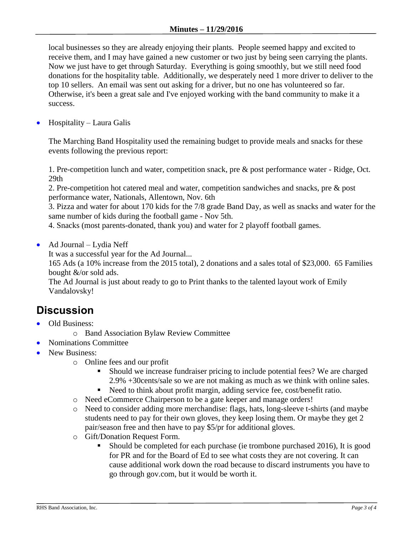local businesses so they are already enjoying their plants. People seemed happy and excited to receive them, and I may have gained a new customer or two just by being seen carrying the plants. Now we just have to get through Saturday. Everything is going smoothly, but we still need food donations for the hospitality table. Additionally, we desperately need 1 more driver to deliver to the top 10 sellers. An email was sent out asking for a driver, but no one has volunteered so far. Otherwise, it's been a great sale and I've enjoyed working with the band community to make it a success.

Hospitality – Laura Galis

The Marching Band Hospitality used the remaining budget to provide meals and snacks for these events following the previous report:

1. Pre-competition lunch and water, competition snack, pre & post performance water - Ridge, Oct. 29th

2. Pre-competition hot catered meal and water, competition sandwiches and snacks, pre & post performance water, Nationals, Allentown, Nov. 6th

3. Pizza and water for about 170 kids for the 7/8 grade Band Day, as well as snacks and water for the same number of kids during the football game - Nov 5th.

4. Snacks (most parents-donated, thank you) and water for 2 playoff football games.

Ad Journal – Lydia Neff

It was a successful year for the Ad Journal...

165 Ads (a 10% increase from the 2015 total), 2 donations and a sales total of \$23,000. 65 Families bought &/or sold ads.

The Ad Journal is just about ready to go to Print thanks to the talented layout work of Emily Vandalovsky!

# **Discussion**

- Old Business:
	- o Band Association Bylaw Review Committee
	- Nominations Committee
- New Business:
	- o Online fees and our profit
		- Should we increase fundraiser pricing to include potential fees? We are charged 2.9% +30cents/sale so we are not making as much as we think with online sales.
		- Need to think about profit margin, adding service fee, cost/benefit ratio.
	- o Need eCommerce Chairperson to be a gate keeper and manage orders!
	- o Need to consider adding more merchandise: flags, hats, long-sleeve t-shirts (and maybe students need to pay for their own gloves, they keep losing them. Or maybe they get 2 pair/season free and then have to pay \$5/pr for additional gloves.
	- o Gift/Donation Request Form.
		- Should be completed for each purchase (ie trombone purchased 2016), It is good for PR and for the Board of Ed to see what costs they are not covering. It can cause additional work down the road because to discard instruments you have to go through gov.com, but it would be worth it.